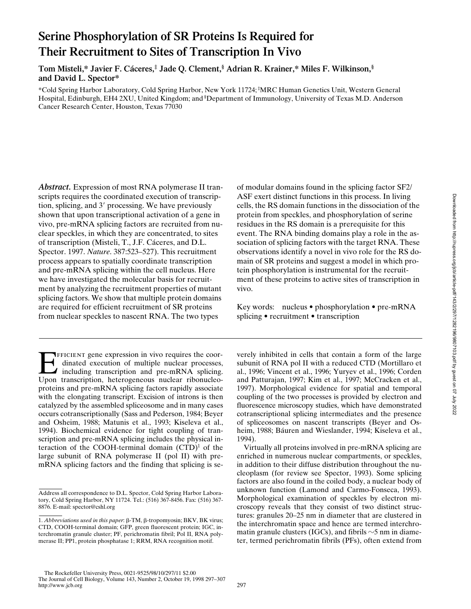# **Serine Phosphorylation of SR Proteins Is Required for Their Recruitment to Sites of Transcription In Vivo**

**Tom Misteli,\* Javier F. Cáceres,‡ Jade Q. Clement,§ Adrian R. Krainer,\* Miles F. Wilkinson,§ and David L. Spector\***

\*Cold Spring Harbor Laboratory, Cold Spring Harbor, New York 11724; ‡ MRC Human Genetics Unit, Western General Hospital, Edinburgh, EH4 2XU, United Kingdom; and <sup>§</sup>Department of Immunology, University of Texas M.D. Anderson Cancer Research Center, Houston, Texas 77030

*Abstract.* Expression of most RNA polymerase II transcripts requires the coordinated execution of transcription, splicing, and 3' processing. We have previously shown that upon transcriptional activation of a gene in vivo, pre-mRNA splicing factors are recruited from nuclear speckles, in which they are concentrated, to sites of transcription (Misteli, T., J.F. Cáceres, and D.L. Spector. 1997. *Nature*. 387:523–527). This recruitment process appears to spatially coordinate transcription and pre-mRNA splicing within the cell nucleus. Here we have investigated the molecular basis for recruitment by analyzing the recruitment properties of mutant splicing factors. We show that multiple protein domains are required for efficient recruitment of SR proteins from nuclear speckles to nascent RNA. The two types

Efficient gene expression in vivo requires the coordinated execution of multiple nuclear processes, Including transcription and pre-mRNA splicing. Upon transcription, heterogeneous nuclear ribonucleoproteins and pre-mRNA splicing factors rapidly associate with the elongating transcript. Excision of introns is then catalyzed by the assembled spliceosome and in many cases occurs cotranscriptionally (Sass and Pederson, 1984; Beyer and Osheim, 1988; Matunis et al., 1993; Kiseleva et al., 1994). Biochemical evidence for tight coupling of transcription and pre-mRNA splicing includes the physical interaction of the COOH-terminal domain  $(CTD)^1$  of the large subunit of RNA polymerase II (pol II) with premRNA splicing factors and the finding that splicing is seof modular domains found in the splicing factor SF2/ ASF exert distinct functions in this process. In living cells, the RS domain functions in the dissociation of the protein from speckles, and phosphorylation of serine residues in the RS domain is a prerequisite for this event. The RNA binding domains play a role in the association of splicing factors with the target RNA. These observations identify a novel in vivo role for the RS domain of SR proteins and suggest a model in which protein phosphorylation is instrumental for the recruitment of these proteins to active sites of transcription in vivo.

Key words: nucleus • phosphorylation • pre-mRNA splicing • recruitment • transcription

verely inhibited in cells that contain a form of the large subunit of RNA pol II with a reduced CTD (Mortillaro et al., 1996; Vincent et al., 1996; Yuryev et al., 1996; Corden and Patturajan, 1997; Kim et al., 1997; McCracken et al., 1997). Morphological evidence for spatial and temporal coupling of the two processes is provided by electron and fluorescence microscopy studies, which have demonstrated cotranscriptional splicing intermediates and the presence of spliceosomes on nascent transcripts (Beyer and Osheim, 1988; Báuren and Wieslander, 1994; Kiseleva et al., 1994).

Virtually all proteins involved in pre-mRNA splicing are enriched in numerous nuclear compartments, or speckles, in addition to their diffuse distribution throughout the nucleoplasm (for review see Spector, 1993). Some splicing factors are also found in the coiled body, a nuclear body of unknown function (Lamond and Carmo-Fonseca, 1993). Morphological examination of speckles by electron microscopy reveals that they consist of two distinct structures: granules 20–25 nm in diameter that are clustered in the interchromatin space and hence are termed interchromatin granule clusters (IGCs), and fibrils  $\sim$  5 nm in diameter, termed perichromatin fibrils (PFs), often extend from

Address all correspondence to D.L. Spector, Cold Spring Harbor Laboratory, Cold Spring Harbor, NY 11724. Tel.: (516) 367-8456. Fax: (516) 367- 8876. E-mail: spector@cshl.org

<sup>1.</sup> *Abbreviations used in this paper*:  $\beta$ -TM,  $\beta$ -tropomyosin; BKV, BK virus; CTD, COOH-terminal domain; GFP, green fluorescent protein; IGC, interchromatin granule cluster; PF, perichromatin fibril; Pol II, RNA polymerase II; PP1, protein phosphatase 1; RRM, RNA recognition motif.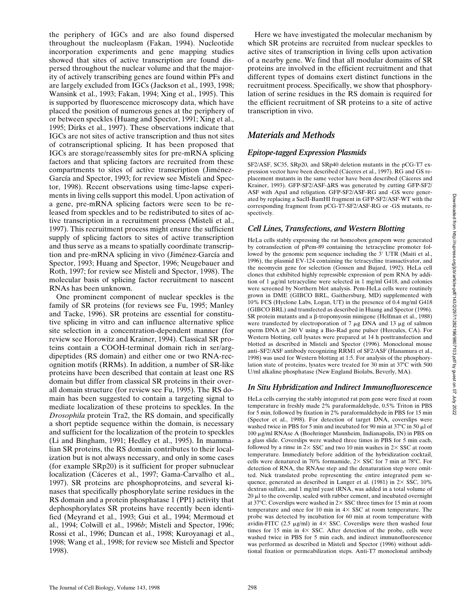the periphery of IGCs and are also found dispersed throughout the nucleoplasm (Fakan, 1994). Nucleotide incorporation experiments and gene mapping studies showed that sites of active transcription are found dispersed throughout the nuclear volume and that the majority of actively transcribing genes are found within PFs and are largely excluded from IGCs (Jackson et al., 1993, 1998; Wansink et al., 1993; Fakan, 1994; Xing et al., 1995). This is supported by fluorescence microscopy data, which have placed the position of numerous genes at the periphery of or between speckles (Huang and Spector, 1991; Xing et al., 1995; Dirks et al., 1997). These observations indicate that IGCs are not sites of active transcription and thus not sites of cotranscriptional splicing. It has been proposed that IGCs are storage/reassembly sites for pre-mRNA splicing factors and that splicing factors are recruited from these compartments to sites of active transcription (Jiménez-García and Spector, 1993; for review see Misteli and Spector, 1998). Recent observations using time-lapse experiments in living cells support this model. Upon activation of a gene, pre-mRNA splicing factors were seen to be released from speckles and to be redistributed to sites of active transcription in a recruitment process (Misteli et al., 1997). This recruitment process might ensure the sufficient supply of splicing factors to sites of active transcription and thus serve as a means to spatially coordinate transcription and pre-mRNA splicing in vivo (Jiménez-García and Spector, 1993; Huang and Spector, 1996; Neugebauer and Roth, 1997; for review see Misteli and Spector, 1998). The molecular basis of splicing factor recruitment to nascent RNAs has been unknown.

One prominent component of nuclear speckles is the family of SR proteins (for reviews see Fu, 1995; Manley and Tacke, 1996). SR proteins are essential for constitutive splicing in vitro and can influence alternative splice site selection in a concentration-dependent manner (for review see Horowitz and Krainer, 1994). Classical SR proteins contain a COOH-terminal domain rich in ser/argdipeptides (RS domain) and either one or two RNA-recognition motifs (RRMs). In addition, a number of SR-like proteins have been described that contain at least one RS domain but differ from classical SR proteins in their overall domain structure (for review see Fu, 1995). The RS domain has been suggested to contain a targeting signal to mediate localization of these proteins to speckles. In the *Drosophila* protein Tra2, the RS domain, and specifically a short peptide sequence within the domain, is necessary and sufficient for the localization of the protein to speckles (Li and Bingham, 1991; Hedley et al., 1995). In mammalian SR proteins, the RS domain contributes to their localization but is not always necessary, and only in some cases (for example SRp20) is it sufficient for proper subnuclear localization (Cáceres et al., 1997; Gama-Carvalho et al., 1997). SR proteins are phosphoproteins, and several kinases that specifically phosphorylate serine residues in the RS domain and a protein phosphatase 1 (PP1) activity that dephosphorylates SR proteins have recently been identified (Meyrand et al., 1993; Gui et al., 1994; Mermoud et al., 1994; Colwill et al., 1996*b*; Misteli and Spector, 1996; Rossi et al., 1996; Duncan et al., 1998; Kuroyanagi et al., 1998; Wang et al., 1998; for review see Misteli and Spector 1998).

Here we have investigated the molecular mechanism by which SR proteins are recruited from nuclear speckles to active sites of transcription in living cells upon activation of a nearby gene. We find that all modular domains of SR proteins are involved in the efficient recruitment and that different types of domains exert distinct functions in the recruitment process. Specifically, we show that phosphorylation of serine residues in the RS domain is required for the efficient recruitment of SR proteins to a site of active transcription in vivo.

## *Materials and Methods*

## *Epitope-tagged Expression Plasmids*

SF2/ASF, SC35, SRp20, and SRp40 deletion mutants in the pCG-T7 expression vector have been described (Cáceres et al., 1997). RG and GS replacement mutants in the same vector have been described (Cáceres and Krainer, 1993). GFP-SF2/ASF- $\Delta$ RS was generated by cutting GFP-SF2/ ASF with ApaI and religation. GFP-SF2/ASF-RG and -GS were generated by replacing a SacII-BamHI fragment in GFP-SF2/ASF-WT with the corresponding fragment from pCG-T7-SF2/ASF-RG or -GS mutants, respectively.

## *Cell Lines, Transfections, and Western Blotting*

HeLa cells stably expressing the rat homeobox genepem were generated by cotransfection of pPem-89 containing the tetracycline promoter followed by the genomic pem sequence including the 3' UTR (Maiti et al., 1996), the plasmid EV-124 containing the tetracycline transactivator, and the neomycin gene for selection (Gossen and Bujard, 1992). HeLa cell clones that exhibited highly repressible expression of pem RNA by addition of 1 mg/ml tetracycline were selected in 1 mg/ml G418, and colonies were screened by Northern blot analysis. Pem-HeLa cells were routinely grown in DME (GIBCO BRL, Gaithersburg, MD) supplemented with 10% FCS (Hyclone Labs, Logan, UT) in the presence of 0.4 mg/ml G418 (GIBCO BRL) and transfected as described in Huang and Spector (1996). SR protein mutants and a β-tropomyosin minigene (Helfman et al., 1988) were transfected by electroporation of  $7 \mu g$  DNA and  $13 \mu g$  of salmon sperm DNA at 240 V using a Bio-Rad gene pulser (Hercules, CA). For Western blotting, cell lysates were prepared at 14 h posttransfection and blotted as described in Misteli and Spector (1996). Monoclonal mouse anti–SF2/ASF antibody recognizing RRM1 of SF2/ASF (Hanamura et al., 1998) was used for Western blotting at 1:5. For analysis of the phosphorylation state of proteins, lysates were treated for 30 min at  $37^{\circ}$ C with 500 U/ml alkaline phosphatase (New England Biolabs, Beverly, MA).

## *In Situ Hybridization and Indirect Immunofluorescence*

HeLa cells carrying the stably integrated rat pem gene were fixed at room temperature in freshly made 2% paraformaldehyde, 0.5% Triton in PBS for  $\frac{1}{5}$  min, followed by fixation in 2% paraformaldehyde in PBS for 15 min (Spector et al., 1998). For detection of target DNA, coverslips were washed twice in PBS for 5 min and incubated for 90 min at 37 $\degree$ C in 50  $\mu$ l of  $100 \mu$ g/ml RNAse A (Boehringer Mannheim, Indianapolis, IN) in PBS on a glass slide. Coverslips were washed three times in PBS for 5 min each, followed by a rinse in  $2 \times$  SSC and two 10 min washes in  $2 \times$  SSC at room temperature. Immediately before addition of the hybridization cocktail, cells were denatured in 70% formamide,  $2 \times$  SSC for 7 min at 78°C. For detection of RNA, the RNAse step and the denaturation step were omitted. Nick translated probe representing the entire integrated pem sequence, generated as described in Langer et al. (1981) in  $2 \times$  SSC, 10% dextran sulfate, and 1 mg/ml yeast tRNA, was added in a total volume of  $20 \mu$ l to the coverslip, sealed with rubber cement, and incubated overnight at 37°C. Coverslips were washed in  $2 \times$  SSC three times for 15 min at room temperature and once for 10 min in  $4 \times$  SSC at room temperature. The probe was detected by incubation for 60 min at room temperature with avidin-FITC (2.5  $\mu$ g/ml) in 4× SSC. Coverslips were then washed four times for 15 min in  $4 \times$  SSC. After detection of the probe, cells were washed twice in PBS for 5 min each, and indirect immunofluorescence was performed as described in Misteli and Spector (1996) without additional fixation or permeabilization steps. Anti-T7 monoclonal antibody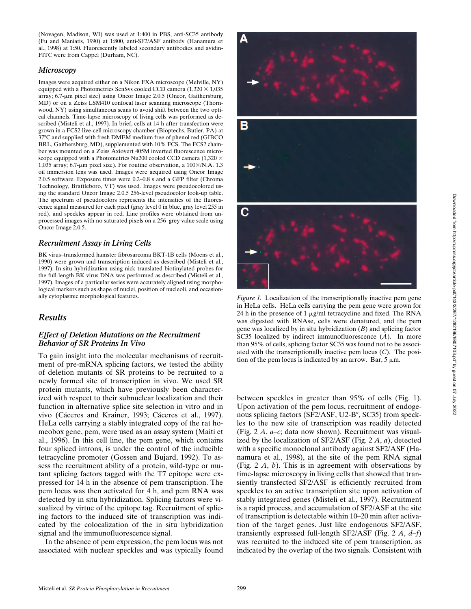(Novagen, Madison, WI) was used at 1:400 in PBS, anti-SC35 antibody (Fu and Maniatis, 1990) at 1:800, anti-SF2/ASF antibody (Hanamura et al., 1998) at 1:50. Fluorescently labeled secondary antibodies and avidin-FITC were from Cappel (Durham, NC).

#### *Microscopy*

Images were acquired either on a Nikon FXA microscope (Melville, NY) equipped with a Photometrics SenSys cooled CCD camera  $(1,320 \times 1,035)$ array; 6.7-µm pixel size) using Oncor Image 2.0.5 (Oncor, Gaithersburg, MD) or on a Zeiss LSM410 confocal laser scanning microscope (Thornwood, NY) using simultaneous scans to avoid shift between the two optical channels. Time-lapse microscopy of living cells was performed as described (Misteli et al., 1997). In brief, cells at 14 h after transfection were grown in a FCS2 live-cell microscopy chamber (Bioptechs, Butler, PA) at 37°C and supplied with fresh DMEM medium free of phenol red (GIBCO BRL, Gaithersburg, MD), supplemented with 10% FCS. The FCS2 chamber was mounted on a Zeiss Axiovert 405M inverted fluorescence microscope equipped with a Photometrics Nu200 cooled CCD camera (1,320  $\times$ 1,035 array; 6.7- $\mu$ m pixel size). For routine observation, a 100 $\times$ /N.A. 1.3 oil immersion lens was used. Images were acquired using Oncor Image 2.0.5 software. Exposure times were 0.2–0.8 s and a GFP filter (Chroma Technology, Brattleboro, VT) was used. Images were pseudocolored using the standard Oncor Image 2.0.5 256-level pseudocolor look-up table. The spectrum of pseudocolors represents the intensities of the fluorescence signal measured for each pixel (gray level 0 in blue, gray level 255 in red), and speckles appear in red. Line profiles were obtained from unprocessed images with no saturated pixels on a 256–grey value scale using Oncor Image 2.0.5.

#### *Recruitment Assay in Living Cells*

BK virus–transformed hamster fibrosarcoma BKT-1B cells (Moens et al., 1990) were grown and transcription induced as described (Misteli et al., 1997). In situ hybridization using nick translated biotinylated probes for the full-length BK virus DNA was performed as described (Misteli et al., 1997). Images of a particular series were accurately aligned using morphological markers such as shape of nuclei, position of nucleoli, and occasionally cytoplasmic morphological features.

## *Results*

### *Effect of Deletion Mutations on the Recruitment Behavior of SR Proteins In Vivo*

To gain insight into the molecular mechanisms of recruitment of pre-mRNA splicing factors, we tested the ability of deletion mutants of SR proteins to be recruited to a newly formed site of transcription in vivo. We used SR protein mutants, which have previously been characterized with respect to their subnuclear localization and their function in alternative splice site selection in vitro and in vivo (Cáceres and Krainer, 1993; Cáceres et al., 1997). HeLa cells carrying a stably integrated copy of the rat homeobox gene, pem, were used as an assay system (Maiti et al., 1996). In this cell line, the pem gene, which contains four spliced introns, is under the control of the inducible tetracycline promoter (Gossen and Bujard, 1992). To assess the recruitment ability of a protein, wild-type or mutant splicing factors tagged with the T7 epitope were expressed for 14 h in the absence of pem transcription. The pem locus was then activated for 4 h, and pem RNA was detected by in situ hybridization. Splicing factors were visualized by virtue of the epitope tag. Recruitment of splicing factors to the induced site of transcription was indicated by the colocalization of the in situ hybridization signal and the immunofluorescence signal.

In the absence of pem expression, the pem locus was not associated with nuclear speckles and was typically found



*Figure 1.* Localization of the transcriptionally inactive pem gene in HeLa cells. HeLa cells carrying the pem gene were grown for 24 h in the presence of 1  $\mu$ g/ml tetracycline and fixed. The RNA was digested with RNAse, cells were denatured, and the pem gene was localized by in situ hybridization (*B*) and splicing factor SC35 localized by indirect immunofluorescence (*A*). In more than 95% of cells, splicing factor SC35 was found not to be associated with the transcriptionally inactive pem locus (*C*). The position of the pem locus is indicated by an arrow. Bar,  $5 \mu m$ .

between speckles in greater than 95% of cells (Fig. 1). Upon activation of the pem locus, recruitment of endogenous splicing factors (SF2/ASF, U2-B", SC35) from speckles to the new site of transcription was readily detected (Fig. 2 *A*, *a–c*; data now shown). Recruitment was visualized by the localization of SF2/ASF (Fig. 2 *A*, *a*), detected with a specific monoclonal antibody against SF2/ASF (Hanamura et al., 1998), at the site of the pem RNA signal (Fig. 2 *A*, *b*). This is in agreement with observations by time-lapse microscopy in living cells that showed that transiently transfected SF2/ASF is efficiently recruited from speckles to an active transcription site upon activation of stably integrated genes (Misteli et al., 1997). Recruitment is a rapid process, and accumulation of SF2/ASF at the site of transcription is detectable within 10–20 min after activation of the target genes. Just like endogenous SF2/ASF, transiently expressed full-length SF2/ASF (Fig. 2 *A*, *d–f*) was recruited to the induced site of pem transcription, as indicated by the overlap of the two signals. Consistent with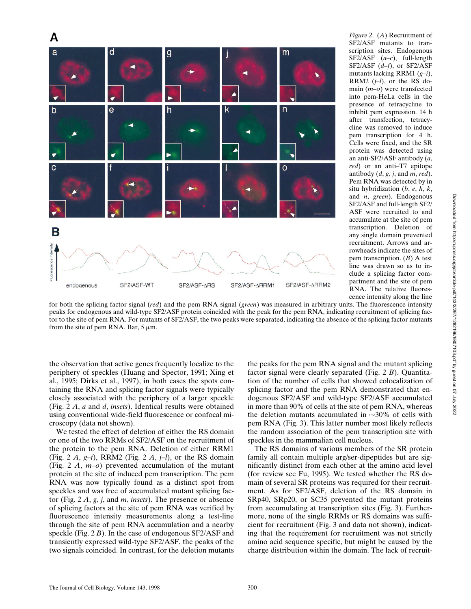

*Figure 2*. (*A*) Recruitment of SF2/ASF mutants to transcription sites. Endogenous SF2/ASF (*a–c*), full-length SF2/ASF (*d–f*), or SF2/ASF mutants lacking RRM1 (*g–i*), RRM2 (*j–l*), or the RS domain (*m–o*) were transfected into pem-HeLa cells in the presence of tetracycline to inhibit pem expression. 14 h after transfection, tetracycline was removed to induce pem transcription for 4 h. Cells were fixed, and the SR protein was detected using an anti-SF2/ASF antibody (*a*, *red*) or an anti–T7 epitope antibody (*d*, *g*, *j*, and *m*, *red*). Pem RNA was detected by in situ hybridization (*b*, *e*, *h*, *k*, and *n*, *green*). Endogenous SF2/ASF and full-length SF2/ ASF were recruited to and accumulate at the site of pem transcription. Deletion of any single domain prevented recruitment. Arrows and arrowheads indicate the sites of pem transcription. (*B*) A test line was drawn so as to include a splicing factor compartment and the site of pem RNA. The relative fluorescence intensity along the line

for both the splicing factor signal (*red*) and the pem RNA signal (*green*) was measured in arbitrary units. The fluorescence intensity peaks for endogenous and wild-type SF2/ASF protein coincided with the peak for the pem RNA, indicating recruitment of splicing factor to the site of pem RNA. For mutants of SF2/ASF, the two peaks were separated, indicating the absence of the splicing factor mutants from the site of pem RNA. Bar,  $5 \mu m$ .

the observation that active genes frequently localize to the periphery of speckles (Huang and Spector, 1991; Xing et al., 1995; Dirks et al., 1997), in both cases the spots containing the RNA and splicing factor signals were typically closely associated with the periphery of a larger speckle (Fig. 2 *A*, *a* and *d*, *insets*). Identical results were obtained using conventional wide-field fluorescence or confocal microscopy (data not shown).

We tested the effect of deletion of either the RS domain or one of the two RRMs of SF2/ASF on the recruitment of the protein to the pem RNA. Deletion of either RRM1 (Fig. 2 *A*, *g–i*), RRM2 (Fig. 2 *A*, *j–l*), or the RS domain (Fig. 2 *A*, *m–o*) prevented accumulation of the mutant protein at the site of induced pem transcription. The pem RNA was now typically found as a distinct spot from speckles and was free of accumulated mutant splicing factor (Fig. 2 *A*, *g*, *j*, and *m*, *insets*). The presence or absence of splicing factors at the site of pem RNA was verified by fluorescence intensity measurements along a test-line through the site of pem RNA accumulation and a nearby speckle (Fig. 2 *B*). In the case of endogenous SF2/ASF and transiently expressed wild-type SF2/ASF, the peaks of the two signals coincided. In contrast, for the deletion mutants

the peaks for the pem RNA signal and the mutant splicing factor signal were clearly separated (Fig. 2 *B*). Quantitation of the number of cells that showed colocalization of splicing factor and the pem RNA demonstrated that endogenous SF2/ASF and wild-type SF2/ASF accumulated in more than 90% of cells at the site of pem RNA, whereas the deletion mutants accumulated in  $\sim$ 30% of cells with pem RNA (Fig. 3). This latter number most likely reflects the random association of the pem transcription site with speckles in the mammalian cell nucleus.

The RS domains of various members of the SR protein family all contain multiple arg/ser-dipeptides but are significantly distinct from each other at the amino acid level (for review see Fu, 1995). We tested whether the RS domain of several SR proteins was required for their recruitment. As for SF2/ASF, deletion of the RS domain in SRp40, SRp20, or SC35 prevented the mutant proteins from accumulating at transcription sites (Fig. 3). Furthermore, none of the single RRMs or RS domains was sufficient for recruitment (Fig. 3 and data not shown), indicating that the requirement for recruitment was not strictly amino acid sequence specific, but might be caused by the charge distribution within the domain. The lack of recruit-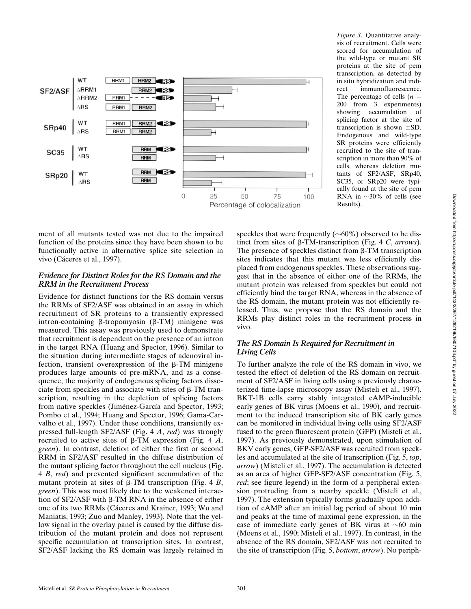

ment of all mutants tested was not due to the impaired function of the proteins since they have been shown to be functionally active in alternative splice site selection in vivo (Cáceres et al., 1997).

#### *Evidence for Distinct Roles for the RS Domain and the RRM in the Recruitment Process*

Evidence for distinct functions for the RS domain versus the RRMs of SF2/ASF was obtained in an assay in which recruitment of SR proteins to a transiently expressed intron-containing  $\beta$ -tropomyosin ( $\beta$ -TM) minigene was measured. This assay was previously used to demonstrate that recruitment is dependent on the presence of an intron in the target RNA (Huang and Spector, 1996). Similar to the situation during intermediate stages of adenoviral infection, transient overexpression of the  $\beta$ -TM minigene produces large amounts of pre-mRNA, and as a consequence, the majority of endogenous splicing factors dissociate from speckles and associate with sites of  $\beta$ -TM transcription, resulting in the depletion of splicing factors from native speckles (Jiménez-García and Spector, 1993; Pombo et al., 1994; Huang and Spector, 1996; Gama-Carvalho et al., 1997). Under these conditions, transiently expressed full-length SF2/ASF (Fig. 4 *A*, *red*) was strongly recruited to active sites of b-TM expression (Fig. 4 *A*, *green*). In contrast, deletion of either the first or second RRM in SF2/ASF resulted in the diffuse distribution of the mutant splicing factor throughout the cell nucleus (Fig. 4 *B*, *red*) and prevented significant accumulation of the mutant protein at sites of  $\beta$ -TM transcription (Fig. 4 *B*, *green*). This was most likely due to the weakened interaction of  $SF2/ASF$  with  $\beta$ -TM RNA in the absence of either one of its two RRMs (Cáceres and Krainer, 1993; Wu and Maniatis, 1993; Zuo and Manley, 1993). Note that the yellow signal in the overlay panel is caused by the diffuse distribution of the mutant protein and does not represent specific accumulation at transcription sites. In contrast, SF2/ASF lacking the RS domain was largely retained in

*Figure 3*. Quantitative analysis of recruitment. Cells were scored for accumulation of the wild-type or mutant SR proteins at the site of pem transcription, as detected by in situ hybridization and indirect immunofluorescence. The percentage of cells  $(n =$ 200 from 3 experiments) showing accumulation of splicing factor at the site of transcription is shown  $\pm SD$ . Endogenous and wild-type SR proteins were efficiently recruited to the site of transcription in more than 90% of cells, whereas deletion mutants of SF2/ASF, SRp40, SC35, or SRp20 were typically found at the site of pem RNA in  $\sim$ 30% of cells (see Results).

speckles that were frequently  $(\sim 60\%)$  observed to be distinct from sites of b-TM-transcription (Fig. 4 *C*, *arrows*). The presence of speckles distinct from  $\beta$ -TM transcription sites indicates that this mutant was less efficiently displaced from endogenous speckles. These observations suggest that in the absence of either one of the RRMs, the mutant protein was released from speckles but could not efficiently bind the target RNA, whereas in the absence of the RS domain, the mutant protein was not efficiently released. Thus, we propose that the RS domain and the RRMs play distinct roles in the recruitment process in vivo.

## *The RS Domain Is Required for Recruitment in Living Cells*

To further analyze the role of the RS domain in vivo, we tested the effect of deletion of the RS domain on recruitment of SF2/ASF in living cells using a previously characterized time-lapse microscopy assay (Misteli et al., 1997). BKT-1B cells carry stably integrated cAMP-inducible early genes of BK virus (Moens et al., 1990), and recruitment to the induced transcription site of BK early genes can be monitored in individual living cells using SF2/ASF fused to the green fluorescent protein (GFP) (Misteli et al., 1997). As previously demonstrated, upon stimulation of BKV early genes, GFP-SF2/ASF was recruited from speckles and accumulated at the site of transcription (Fig. 5, *top*, *arrow*) (Misteli et al., 1997). The accumulation is detected as an area of higher GFP-SF2/ASF concentration (Fig. 5, *red*; see figure legend) in the form of a peripheral extension protruding from a nearby speckle (Misteli et al., 1997). The extension typically forms gradually upon addition of cAMP after an initial lag period of about 10 min and peaks at the time of maximal gene expression, in the case of immediate early genes of BK virus at  $\sim 60$  min (Moens et al., 1990; Misteli et al., 1997). In contrast, in the absence of the RS domain, SF2/ASF was not recruited to the site of transcription (Fig. 5, *bottom*, *arrow*). No periph-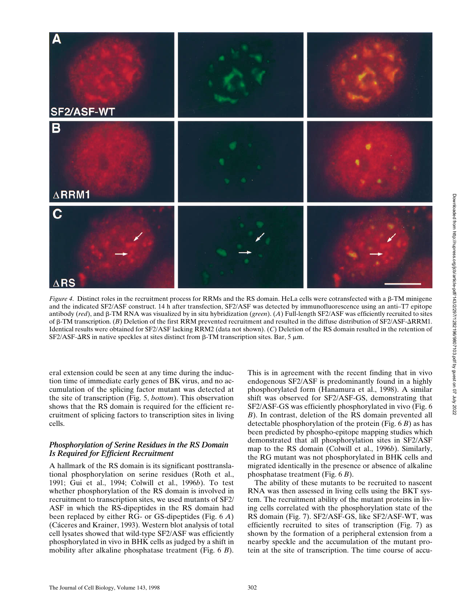

*Figure 4.* Distinct roles in the recruitment process for RRMs and the RS domain. HeLa cells were cotransfected with a  $\beta$ -TM minigene and the indicated SF2/ASF construct. 14 h after transfection, SF2/ASF was detected by immunofluorescence using an anti–T7 epitope antibody (*red*), and b-TM RNA was visualized by in situ hybridization (*green*). (*A*) Full-length SF2/ASF was efficiently recruited to sites of β-TM transcription. (*B*) Deletion of the first RRM prevented recruitment and resulted in the diffuse distribution of SF2/ASF-ΔRRM1. Identical results were obtained for SF2/ASF lacking RRM2 (data not shown). (*C*) Deletion of the RS domain resulted in the retention of SF2/ASF- $\Delta$ RS in native speckles at sites distinct from  $\beta$ -TM transcription sites. Bar, 5  $\mu$ m.

eral extension could be seen at any time during the induction time of immediate early genes of BK virus, and no accumulation of the splicing factor mutant was detected at the site of transcription (Fig. 5, *bottom*). This observation shows that the RS domain is required for the efficient recruitment of splicing factors to transcription sites in living cells.

### *Phosphorylation of Serine Residues in the RS Domain Is Required for Efficient Recruitment*

A hallmark of the RS domain is its significant posttranslational phosphorylation on serine residues (Roth et al., 1991; Gui et al., 1994; Colwill et al., 1996*b*). To test whether phosphorylation of the RS domain is involved in recruitment to transcription sites, we used mutants of SF2/ ASF in which the RS-dipeptides in the RS domain had been replaced by either RG- or GS-dipeptides (Fig. 6 *A*) (Cáceres and Krainer, 1993). Western blot analysis of total cell lysates showed that wild-type SF2/ASF was efficiently phosphorylated in vivo in BHK cells as judged by a shift in mobility after alkaline phosphatase treatment (Fig. 6 *B*). This is in agreement with the recent finding that in vivo endogenous SF2/ASF is predominantly found in a highly phosphorylated form (Hanamura et al., 1998). A similar shift was observed for SF2/ASF-GS, demonstrating that SF2/ASF-GS was efficiently phosphorylated in vivo (Fig. 6 *B*). In contrast, deletion of the RS domain prevented all detectable phosphorylation of the protein (Fig. 6 *B*) as has been predicted by phospho-epitope mapping studies which demonstrated that all phosphorylation sites in SF2/ASF map to the RS domain (Colwill et al., 1996*b*). Similarly, the RG mutant was not phosphorylated in BHK cells and migrated identically in the presence or absence of alkaline phosphatase treatment (Fig. 6 *B*).

The ability of these mutants to be recruited to nascent RNA was then assessed in living cells using the BKT system. The recruitment ability of the mutant proteins in living cells correlated with the phosphorylation state of the RS domain (Fig. 7). SF2/ASF-GS, like SF2/ASF-WT, was efficiently recruited to sites of transcription (Fig. 7) as shown by the formation of a peripheral extension from a nearby speckle and the accumulation of the mutant protein at the site of transcription. The time course of accu-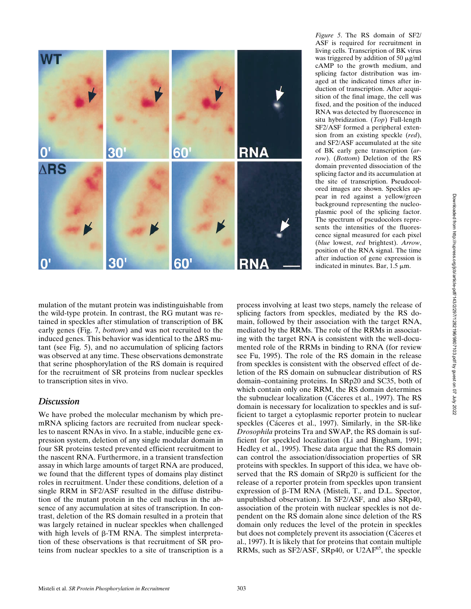

*Figure 5*. The RS domain of SF2/ ASF is required for recruitment in living cells. Transcription of BK virus was triggered by addition of 50  $\mu$ g/ml cAMP to the growth medium, and splicing factor distribution was imaged at the indicated times after induction of transcription. After acquisition of the final image, the cell was fixed, and the position of the induced RNA was detected by fluorescence in situ hybridization. (*Top*) Full-length SF2/ASF formed a peripheral extension from an existing speckle (*red*), and SF2/ASF accumulated at the site of BK early gene transcription (*arrow*). (*Bottom*) Deletion of the RS domain prevented dissociation of the splicing factor and its accumulation at the site of transcription. Pseudocolored images are shown. Speckles appear in red against a yellow/green background representing the nucleoplasmic pool of the splicing factor. The spectrum of pseudocolors represents the intensities of the fluorescence signal measured for each pixel (*blue* lowest, *red* brightest). *Arrow*, position of the RNA signal. The time after induction of gene expression is indicated in minutes. Bar,  $1.5 \mu m$ .

mulation of the mutant protein was indistinguishable from the wild-type protein. In contrast, the RG mutant was retained in speckles after stimulation of transcription of BK early genes (Fig. 7, *bottom*) and was not recruited to the induced genes. This behavior was identical to the  $\Delta RS$  mutant (see Fig. 5), and no accumulation of splicing factors was observed at any time. These observations demonstrate that serine phosphorylation of the RS domain is required for the recruitment of SR proteins from nuclear speckles to transcription sites in vivo.

## *Discussion*

We have probed the molecular mechanism by which premRNA splicing factors are recruited from nuclear speckles to nascent RNAs in vivo. In a stable, inducible gene expression system, deletion of any single modular domain in four SR proteins tested prevented efficient recruitment to the nascent RNA. Furthermore, in a transient transfection assay in which large amounts of target RNA are produced, we found that the different types of domains play distinct roles in recruitment. Under these conditions, deletion of a single RRM in SF2/ASF resulted in the diffuse distribution of the mutant protein in the cell nucleus in the absence of any accumulation at sites of transcription. In contrast, deletion of the RS domain resulted in a protein that was largely retained in nuclear speckles when challenged with high levels of  $\beta$ -TM RNA. The simplest interpretation of these observations is that recruitment of SR proteins from nuclear speckles to a site of transcription is a process involving at least two steps, namely the release of splicing factors from speckles, mediated by the RS domain, followed by their association with the target RNA, mediated by the RRMs. The role of the RRMs in associating with the target RNA is consistent with the well-documented role of the RRMs in binding to RNA (for review see Fu, 1995). The role of the RS domain in the release from speckles is consistent with the observed effect of deletion of the RS domain on subnuclear distribution of RS domain–containing proteins. In SRp20 and SC35, both of which contain only one RRM, the RS domain determines the subnuclear localization (Cáceres et al., 1997). The RS domain is necessary for localization to speckles and is sufficient to target a cytoplasmic reporter protein to nuclear speckles (Cáceres et al., 1997). Similarly, in the SR-like *Drosophila* proteins Tra and SWAP, the RS domain is sufficient for speckled localization (Li and Bingham, 1991; Hedley et al., 1995). These data argue that the RS domain can control the association/dissociation properties of SR proteins with speckles. In support of this idea, we have observed that the RS domain of SRp20 is sufficient for the release of a reporter protein from speckles upon transient expression of  $\beta$ -TM RNA (Misteli, T., and D.L. Spector, unpublished observation). In SF2/ASF, and also SRp40, association of the protein with nuclear speckles is not dependent on the RS domain alone since deletion of the RS domain only reduces the level of the protein in speckles but does not completely prevent its association (Cáceres et al., 1997). It is likely that for proteins that contain multiple RRMs, such as SF2/ASF, SRp40, or U2AF<sup>65</sup>, the speckle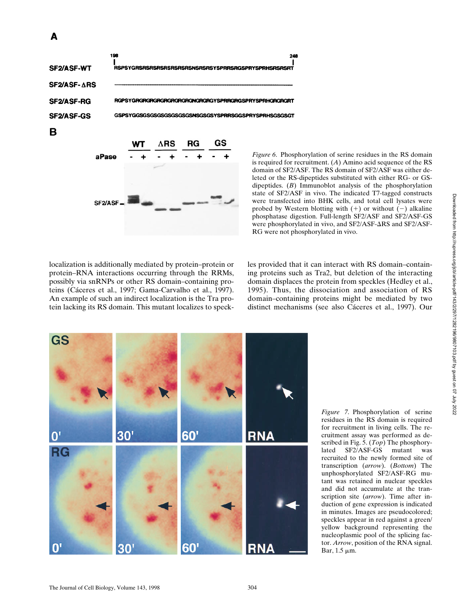

*Figure 6*. Phosphorylation of serine residues in the RS domain is required for recruitment. (*A*) Amino acid sequence of the RS domain of SF2/ASF. The RS domain of SF2/ASF was either deleted or the RS-dipeptides substituted with either RG- or GSdipeptides. (*B*) Immunoblot analysis of the phosphorylation state of SF2/ASF in vivo. The indicated T7-tagged constructs were transfected into BHK cells, and total cell lysates were probed by Western blotting with  $(+)$  or without  $(-)$  alkaline phosphatase digestion. Full-length SF2/ASF and SF2/ASF-GS were phosphorylated in vivo, and SF2/ASF- $\Delta$ RS and SF2/ASF-RG were not phosphorylated in vivo.

localization is additionally mediated by protein–protein or protein–RNA interactions occurring through the RRMs, possibly via snRNPs or other RS domain–containing proteins (Cáceres et al., 1997; Gama-Carvalho et al., 1997). An example of such an indirect localization is the Tra protein lacking its RS domain. This mutant localizes to speckles provided that it can interact with RS domain–containing proteins such as Tra2, but deletion of the interacting domain displaces the protein from speckles (Hedley et al., 1995). Thus, the dissociation and association of RS domain–containing proteins might be mediated by two distinct mechanisms (see also Cáceres et al., 1997). Our



*Figure 7*. Phosphorylation of serine residues in the RS domain is required for recruitment in living cells. The recruitment assay was performed as described in Fig. 5. (*Top*) The phosphorylated SF2/ASF-GS mutant was recruited to the newly formed site of transcription (*arrow*). (*Bottom*) The unphosphorylated SF2/ASF-RG mutant was retained in nuclear speckles and did not accumulate at the transcription site (*arrow*). Time after induction of gene expression is indicated in minutes. Images are pseudocolored; speckles appear in red against a green/ yellow background representing the nucleoplasmic pool of the splicing factor. *Arrow*, position of the RNA signal. Bar,  $1.5 \mu m$ .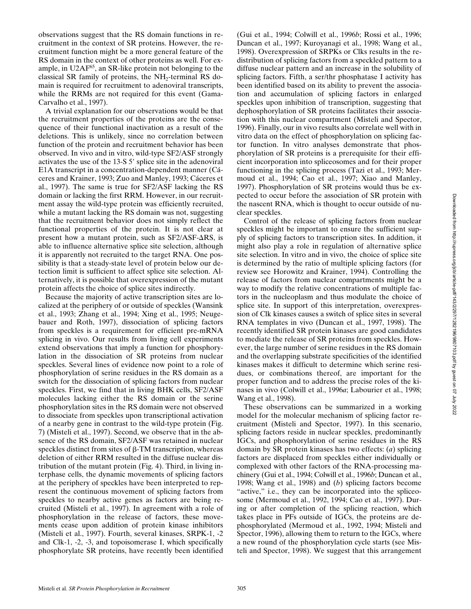observations suggest that the RS domain functions in recruitment in the context of SR proteins. However, the recruitment function might be a more general feature of the RS domain in the context of other proteins as well. For example, in U2AF65, an SR-like protein not belonging to the classical SR family of proteins, the  $NH<sub>2</sub>$ -terminal RS domain is required for recruitment to adenoviral transcripts, while the RRMs are not required for this event (Gama-Carvalho et al., 1997).

A trivial explanation for our observations would be that the recruitment properties of the proteins are the consequence of their functional inactivation as a result of the deletions. This is unlikely, since no correlation between function of the protein and recruitment behavior has been observed. In vivo and in vitro, wild-type SF2/ASF strongly activates the use of the  $13-S$  5' splice site in the adenoviral E1A transcript in a concentration-dependent manner (Cáceres and Krainer, 1993; Zuo and Manley, 1993; Cáceres et al., 1997). The same is true for SF2/ASF lacking the RS domain or lacking the first RRM. However, in our recruitment assay the wild-type protein was efficiently recruited, while a mutant lacking the RS domain was not, suggesting that the recruitment behavior does not simply reflect the functional properties of the protein. It is not clear at present how a mutant protein, such as  $SF2/ASF-ARS$ , is able to influence alternative splice site selection, although it is apparently not recruited to the target RNA. One possibility is that a steady-state level of protein below our detection limit is sufficient to affect splice site selection. Alternatively, it is possible that overexpression of the mutant protein affects the choice of splice sites indirectly.

Because the majority of active transcription sites are localized at the periphery of or outside of speckles (Wansink et al., 1993; Zhang et al., 1994; Xing et al., 1995; Neugebauer and Roth, 1997), dissociation of splicing factors from speckles is a requirement for efficient pre-mRNA splicing in vivo. Our results from living cell experiments extend observations that imply a function for phosphorylation in the dissociation of SR proteins from nuclear speckles. Several lines of evidence now point to a role of phosphorylation of serine residues in the RS domain as a switch for the dissociation of splicing factors from nuclear speckles. First, we find that in living BHK cells, SF2/ASF molecules lacking either the RS domain or the serine phosphorylation sites in the RS domain were not observed to dissociate from speckles upon transcriptional activation of a nearby gene in contrast to the wild-type protein (Fig. 7) (Misteli et al., 1997). Second, we observe that in the absence of the RS domain, SF2/ASF was retained in nuclear speckles distinct from sites of  $\beta$ -TM transcription, whereas deletion of either RRM resulted in the diffuse nuclear distribution of the mutant protein (Fig. 4). Third, in living interphase cells, the dynamic movements of splicing factors at the periphery of speckles have been interpreted to represent the continuous movement of splicing factors from speckles to nearby active genes as factors are being recruited (Misteli et al., 1997). In agreement with a role of phosphorylation in the release of factors, these movements cease upon addition of protein kinase inhibitors (Misteli et al., 1997). Fourth, several kinases, SRPK-1, -2 and Clk-1, -2, -3, and topoisomerase I, which specifically phosphorylate SR proteins, have recently been identified

(Gui et al., 1994; Colwill et al., 1996*b*; Rossi et al., 1996; Duncan et al., 1997; Kuroyanagi et al., 1998; Wang et al., 1998). Overexpression of SRPKs or Clks results in the redistribution of splicing factors from a speckled pattern to a diffuse nuclear pattern and an increase in the solubility of splicing factors. Fifth, a ser/thr phosphatase I activity has been identified based on its ability to prevent the association and accumulation of splicing factors in enlarged speckles upon inhibition of transcription, suggesting that dephosphorylation of SR proteins facilitates their association with this nuclear compartment (Misteli and Spector, 1996). Finally, our in vivo results also correlate well with in vitro data on the effect of phosphorylation on splicing factor function. In vitro analyses demonstrate that phosphorylation of SR proteins is a prerequisite for their efficient incorporation into spliceosomes and for their proper functioning in the splicing process (Tazi et al., 1993; Mermoud et al., 1994; Cao et al., 1997; Xiao and Manley, 1997). Phosphorylation of SR proteins would thus be expected to occur before the association of SR protein with the nascent RNA, which is thought to occur outside of nuclear speckles.

Control of the release of splicing factors from nuclear speckles might be important to ensure the sufficient supply of splicing factors to transcription sites. In addition, it might also play a role in regulation of alternative splice site selection. In vitro and in vivo, the choice of splice site is determined by the ratio of multiple splicing factors (for review see Horowitz and Krainer, 1994). Controlling the release of factors from nuclear compartments might be a way to modify the relative concentrations of multiple factors in the nucleoplasm and thus modulate the choice of splice site. In support of this interpretation, overexpression of Clk kinases causes a switch of splice sites in several RNA templates in vivo (Duncan et al., 1997, 1998). The recently identified SR protein kinases are good candidates to mediate the release of SR proteins from speckles. However, the large number of serine residues in the RS domain and the overlapping substrate specificities of the identified kinases makes it difficult to determine which serine residues, or combinations thereof, are important for the proper function and to address the precise roles of the kinases in vivo (Colwill et al., 1996*a*; Labourier et al., 1998; Wang et al., 1998).

These observations can be summarized in a working model for the molecular mechanism of splicing factor recruitment (Misteli and Spector, 1997). In this scenario, splicing factors reside in nuclear speckles, predominantly IGCs, and phosphorylation of serine residues in the RS domain by SR protein kinases has two effects: (*a*) splicing factors are displaced from speckles either individually or complexed with other factors of the RNA-processing machinery (Gui et al., 1994; Colwill et al., 1996*b*; Duncan et al., 1998; Wang et al., 1998) and (*b*) splicing factors become "active," i.e., they can be incorporated into the spliceosome (Mermoud et al., 1992, 1994; Cao et al., 1997). During or after completion of the splicing reaction, which takes place in PFs outside of IGCs, the proteins are dephosphorylated (Mermoud et al., 1992, 1994; Misteli and Spector, 1996), allowing them to return to the IGCs, where a new round of the phosphorylation cycle starts (see Misteli and Spector, 1998). We suggest that this arrangement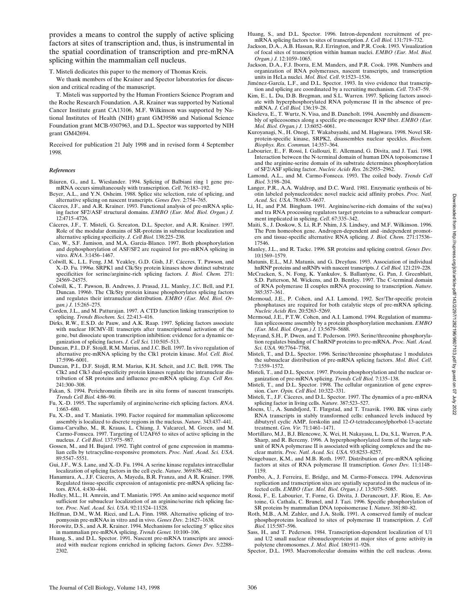provides a means to control the supply of active splicing factors at sites of transcription and, thus, is instrumental in the spatial coordination of transcription and pre-mRNA splicing within the mammalian cell nucleus.

T. Misteli dedicates this paper to the memory of Thomas Kreis.

We thank members of the Krainer and Spector laboratories for discussion and critical reading of the manuscript.

T. Misteli was supported by the Human Frontiers Science Program and the Roche Research Foundation. A.R. Krainer was supported by National Cancer Institute grant CA13106, M.F. Wilkinson was supported by National Institutes of Health (NIH) grant GM39586 and National Science Foundation grant MCB-9307963, and D.L. Spector was supported by NIH grant GM42694.

Received for publication 21 July 1998 and in revised form 4 September 1998.

#### *References*

- Báuren, G., and L. Wieslander. 1994. Splicing of Balbiani ring 1 gene premRNA occurs simultaneously with transcription. *Cell*. 76:183–192.
- Beyer, A.L., and Y.N. Osheim. 1988. Splice site selection, rate of splicing, and alternative splicing on nascent transcripts. *Genes Dev.* 2:754–765.
- Cáceres, J.F., and A.R. Krainer. 1993. Functional analysis of pre-mRNA splicing factor SF2/ASF structural domains. *EMBO (Eur. Mol. Biol. Organ.) J.* 12:4715–4726.
- Cáceres, J.F., T. Misteli, G. Screaton, D.L. Spector, and A.R. Krainer. 1997. Role of the modular domains of SR-proteins in subnuclear localization and alternative splicing specificity. *J. Cell Biol.* 138:225–238.
- Cao, W., S.F. Jamison, and M.A. Garcia-Blanco. 1997. Both phosphorylation and dephosphorylation of ASF/SF2 are required for pre-mRNA splicing in vitro. *RNA*. 3:1456–1467.
- Colwill, K., L.L. Feng, J.M. Yeakley, G.D. Gish, J.F. Cáceres, T. Pawson, and X.-D. Fu. 1996*a*. SRPK1 and Clk/Sty protein kinases show distinct substrate specificities for serine/arginine-rich splicing factors. *J. Biol. Chem.* 271: 24569–24575.
- Colwill, K., T. Pawson, B. Andrews, J. Prasad, J.L. Manley, J.C. Bell, and P.I. Duncan. 1996*b*. The Clk/Sty protein kinase phosphorylates splicing factors and regulates their intranuclear distribution. *EMBO (Eur. Mol. Biol. Organ.) J.* 15:265–275.
- Corden, J.L., and M. Patturajan. 1997. A CTD function linking transcription to splicing. *Trends Biochem. Sci.* 22:413–416.
- Dirks, R.W., E.S.D. de Pauw, and A.K. Raap. 1997. Splicing factors associate with nuclear HCMV-IE transcripts after transcriptional activation of the gene, but dissociate upon transcription inhibition: evidence for a dynamic organization of splicing factors. *J. Cell Sci.* 110:505–513.
- Duncan, P.I., D.F. Stojdl, R.M. Marius, and J.C. Bell. 1997. In vivo regulation of alternative pre-mRNA splicing by the Clk1 protein kinase. *Mol. Cell. Biol.* 17:5996–6001.
- Duncan, P.I., D.F. Stojdl, R.M. Marius, K.H. Scheit, and J.C. Bell. 1998. The Clk2 and Clk3 dual-specificity protein kinases regulate the intranuclear distribution of SR proteins and influence pre-mRNA splicing. *Exp. Cell Res.* 241:300–308.
- Fakan, S. 1994. Perichromatin fibrils are in situ forms of nascent transcripts. *Trends Cell Biol.* 4:86–90.
- Fu, X.-D. 1995. The superfamily of arginine/serine-rich splicing factors. *RNA*. 1:663–680.
- Fu, X.-D., and T. Maniatis. 1990. Factor required for mammalian spliceosome assembly is localized to discrete regions in the nucleus. *Nature*. 343:437–441.
- Gama-Carvalho, M., R. Krauss, L. Chiang, J. Valcarcel, M. Green, and M. Carmo-Fonseca. 1997. Targeting of U2AF65 to sites of active splicing in the nucleus. *J. Cell Biol*. 137:975–987.
- Gossen, M., and H. Bujard. 1992. Tight control of gene expression in mammalian cells by tetracycline-responsive promoters. *Proc. Natl. Acad. Sci. USA*. 89:5547–5551.
- Gui, J.F., W.S. Lane, and X.-D. Fu. 1994. A serine kinase regulates intracellular localization of splicing factors in the cell cycle. *Nature*. 369:678–682.
- Hanamura, A., J.F. Cáceres, A. Mayeda, B.R. Franza, and A R. Krainer. 1998. Regulated tissue-specific expression of antagonistic pre-mRNA splicing factors. *RNA*. 4:430–444.
- Hedley, M.L., H. Amrein, and T. Maniatis. 1995. An amino acid sequence motif sufficient for subnuclear localization of an arginine/serine rich splicing factor. *Proc. Natl. Acad. Sci. USA*. 92:11524–11528.
- Helfman, D.M., W.M. Ricci, and L.A. Finn. 1988. Alternative splicing of tropomyosin pre-mRNAs in vitro and in vivo. *Genes Dev.* 2:1627–1638.
- Horowitz, D.S., and A.R. Krainer. 1994. Mechanisms for selecting 5' splice sites in mammalian pre-mRNA splicing. *Trends Genet.* 10:100–106.
- Huang, S., and D.L. Spector. 1991. Nascent pre-mRNA transcripts are associated with nuclear regions enriched in splicing factors. *Genes Dev.* 5:2288– 2302.
- Huang, S., and D.L. Spector. 1996. Intron-dependent recruitment of premRNA splicing factors to sites of transcription. *J. Cell Biol.* 131:719–732.
- Jackson, D.A., A.B. Hassan, R.J. Errington, and P.R. Cook. 1993. Visualization of focal sites of transcription within human nuclei. *EMBO (Eur. Mol. Biol. Organ.) J.* 12:1059–1065.
- Jackson, D.A., F.J. Iborra, E.M. Manders, and P.R. Cook. 1998. Numbers and organization of RNA polymerases, nascent transcripts, and transcription units in HeLa nuclei. *Mol. Biol. Cell*. 9:1523–1536.
- Jiménez-García, L.F., and D.L. Spector. 1993. In vivo evidence that transcription and splicing are coordinated by a recruiting mechanism. *Cell*. 73:47–59.
- Kim, E., L. Du, D.B. Bregman, and S.L. Warren. 1997. Splicing factors associate with hyperphosphorylated RNA polymerase II in the absence of premRNA. *J. Cell Biol.* 136:19–28.
- Kiseleva, E., T. Wurtz, N. Visa, and B. Daneholt. 1994. Assembly and disassembly of spliceosomes along a specific pre-messenger RNP fiber. *EMBO (Eur. Mol. Biol. Organ.) J.* 13:6052–6061.
- Kuroyanagi, N., H. Onogi, T. Wakabayashi, and M. Hagiwara. 1998. Novel SRprotein-specific kinase, SRPK2, disassembles nuclear speckles. *Biochem. Biophys. Res. Commun.* 14:357–364.
- Labourier, E., F. Rossi, I. Gallouzi, E. Allemand, G. Divita, and J. Tazi. 1998. Interaction between the N-terminal domain of human DNA topoisomerase I and the arginine-serine domain of its substrate determines phosphorylation of SF2/ASF splicing factor. *Nucleic Acids Res.* 26:2955–2962.
- Lamond, A.L., and M. Carmo-Fonseca. 1993. The coiled body. *Trends Cell Biol.* 3:198–204.
- Langer, P.R., A.A. Waldrop, and D.C. Ward. 1981. Enzymatic synthesis of biotin labeled polynucleotides: novel nucleic acid affinity probes. *Proc. Natl. Acad. Sci. USA*. 78:6633–6637.
- Li, H., and P.M. Bingham. 1991. Arginine/serine-rich domains of the su(wa) and tra RNA processing regulators target proteins to a subnuclear compartment implicated in splicing. *Cell*. 67:335–342.
- Maiti, S., J. Doskow, S. Li, R.P. Nhim, J.S. Lindsey, and M.F. Wilkinson. 1996. The Pem homeobox gene. Androgen-dependent and -independent promoters and tissue-specific alternative RNA splicing. *J. Biol. Chem.* 271:17536– 17546.
- Manley, J.L., and R. Tacke. 1996. SR proteins and splicing control. *Genes Dev.* 10:1569–1579.
- Matunis, E.L., M.J. Matunis, and G. Dreyfuss. 1993. Association of individual hnRNP proteins and snRNPs with nascent transcripts. *J. Cell Biol.* 121:219–228.
- McCracken, S., N. Fong, K. Yankulov, S. Ballantyne, G. Pan, J. Greenblatt, S.D. Patterson, M. Wickens, and D. Bentley. 1997. The C-terminal domain of RNA polymerase II couples mRNA processing to transcription. *Nature*. 385:357–361.
- Mermoud, J.E., P. Cohen, and A.I. Lamond. 1992. Ser/Thr-specific protein phosphatases are required for both catalytic steps of pre-mRNA splicing. *Nucleic Acids Res.* 20:5263–5269.
- Mermoud, J.E., P.T.W. Cohen, and A.I. Lamond. 1994. Regulation of mammalian spliceosome assembly by a protein phosphorylation mechanism. *EMBO (Eur. Mol. Biol. Organ.) J.* 13:5679–5688.
- Meyrand, S.H., P. Dwen, and T. Pederson. 1993. Serine/threonine phosphorylation regulates binding of C hnRNP proteins to pre-mRNA. *Proc. Natl. Acad. Sci. USA.* 90:7764–7768.
- Misteli, T., and D.L. Spector. 1996. Serine/threonine phosphatase 1 modulates the subnuclear distribution of pre-mRNA splicing factors. *Mol. Biol. Cell*. 7:1559–1572.
- Misteli, T., and D.L. Spector. 1997. Protein phosphorylation and the nuclear organization of pre-mRNA splicing. *Trends Cell Biol.* 7:135–138.
- Misteli, T., and D.L. Spector. 1998. The cellular organization of gene expression. *Curr. Opin. Cell Biol.* 10:322–331.
- Misteli, T., J.F. Cáceres, and D.L. Spector. 1997. The dynamics of a pre-mRNA splicing factor in living cells. *Nature*. 387:523–527.
- Moens, U., A. Sundsfjord, T. Flægstad, and T. Traavik. 1990. BK virus early RNA transcripts in stably transformed cells: enhanced levels induced by dibutyryl cyclic AMP, forskolin and 12-*O*-tetradecanoylphorbol-13-acetate treatment. *Gen. Vir.* 71:1461–1471.
- Mortillaro, M.J., B.J. Blencowe, X. Wei, H. Nakayasu, L. Du, S.L. Warren, P.A. Sharp, and R. Berezny. 1996. A hyperphosphorylated form of the large subunit of RNA polymerase II is associated with splicing complexes and the nuclear matrix. *Proc. Natl. Acad. Sci. USA.* 93:8253–8257.
- Neugebauer, K.M., and M.B. Roth. 1997. Distribution of pre-mRNA splicing factors at sites of RNA polymerase II transcription. *Genes Dev.* 11:1148– 1159.
- Pombo, A., J. Ferreira, E. Bridge, and M. Carmo-Fonseca. 1994. Adenovirus replication and transcription sites are spatially separated in the nucleus of infected cells. *EMBO (Eur. Mol. Biol. Organ.) J.* 13:5075–5085.
- Rossi, F., E. Labourier, T. Forne, G. Divita, J. Derancourt, J.F. Riou, E. Antoine, G. Cathala, C. Brunel, and J. Tazi. 1996. Specific phosphorylation of SR proteins by mammalian DNA topoisomerase I. *Nature*. 381:80–82.
- Roth, M.B., A.M. Zahler, and J.A. Stolk. 1991. A conserved family of nuclear phosphoproteins localized to sites of polymerase II transcription. *J. Cell Biol.* 115:587–596.
- Sass, H., and T. Pederson. 1984. Transcription-dependent localization of U1 and U2 small nuclear ribonucleoproteins at major sites of gene activity in polytene chromosomes. *J. Mol. Biol.* 180:911–926.
- Spector, D.L. 1993. Macromolecular domains within the cell nucleus. *Annu.*